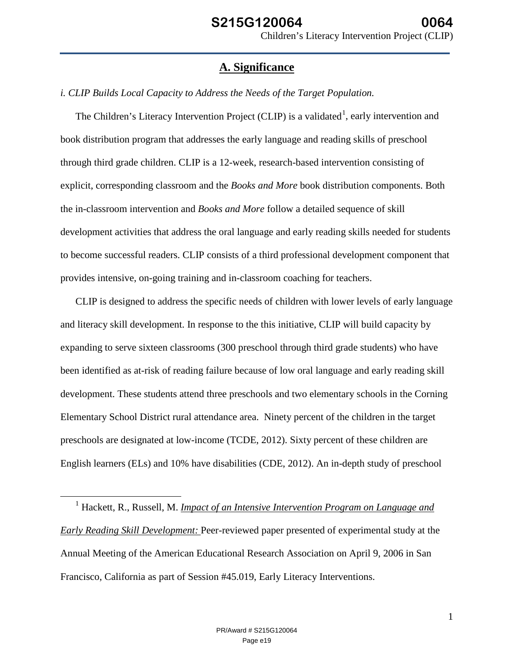# **A. Significance**

#### *i. CLIP Builds Local Capacity to Address the Needs of the Target Population.*

The Children's Literacy Intervention Project (CLIP) is a validated<sup>1</sup>, early intervention and book distribution program that addresses the early language and reading skills of preschool through third grade children. CLIP is a 12-week, research-based intervention consisting of explicit, corresponding classroom and the *Books and More* book distribution components. Both the in-classroom intervention and *Books and More* follow a detailed sequence of skill development activities that address the oral language and early reading skills needed for students to become successful readers. CLIP consists of a third professional development component that provides intensive, on-going training and in-classroom coaching for teachers.

CLIP is designed to address the specific needs of children with lower levels of early language and literacy skill development. In response to the this initiative, CLIP will build capacity by expanding to serve sixteen classrooms (300 preschool through third grade students) who have been identified as at-risk of reading failure because of low oral language and early reading skill development. These students attend three preschools and two elementary schools in the Corning Elementary School District rural attendance area. Ninety percent of the children in the target preschools are designated at low-income (TCDE, 2012). Sixty percent of these children are English learners (ELs) and 10% have disabilities (CDE, 2012). An in-depth study of preschool

<sup>1</sup> Hackett, R., Russell, M. *Impact of an Intensive Intervention Program on Language and Early Reading Skill Development:* Peer-reviewed paper presented of experimental study at the Annual Meeting of the American Educational Research Association on April 9, 2006 in San Francisco, California as part of Session #45.019, Early Literacy Interventions.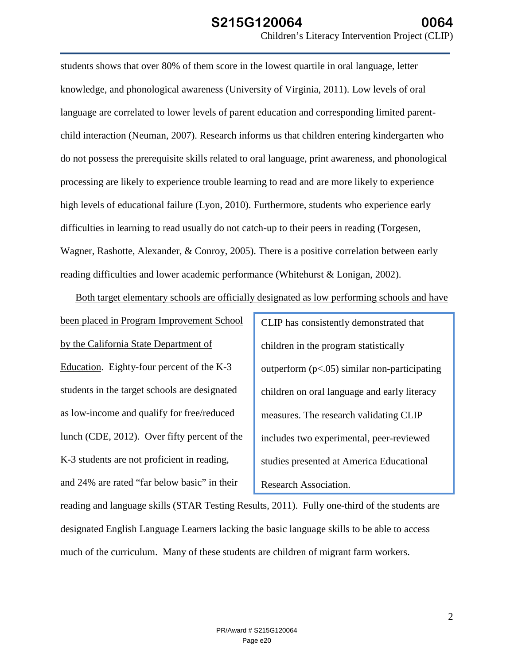students shows that over 80% of them score in the lowest quartile in oral language, letter knowledge, and phonological awareness (University of Virginia, 2011). Low levels of oral language are correlated to lower levels of parent education and corresponding limited parentchild interaction (Neuman, 2007). Research informs us that children entering kindergarten who do not possess the prerequisite skills related to oral language, print awareness, and phonological processing are likely to experience trouble learning to read and are more likely to experience high levels of educational failure (Lyon, 2010). Furthermore, students who experience early difficulties in learning to read usually do not catch-up to their peers in reading (Torgesen, Wagner, Rashotte, Alexander, & Conroy, 2005). There is a positive correlation between early reading difficulties and lower academic performance (Whitehurst & Lonigan, 2002).

Both target elementary schools are officially designated as low performing schools and have

been placed in Program Improvement School by the California State Department of Education. Eighty-four percent of the K-3 students in the target schools are designated as low-income and qualify for free/reduced lunch (CDE, 2012). Over fifty percent of the K-3 students are not proficient in reading, and 24% are rated "far below basic" in their

CLIP has consistently demonstrated that children in the program statistically outperform (p<.05) similar non-participating children on oral language and early literacy measures. The research validating CLIP includes two experimental, peer-reviewed studies presented at America Educational Research Association.

reading and language skills (STAR Testing Results, 2011). Fully one-third of the students are designated English Language Learners lacking the basic language skills to be able to access much of the curriculum. Many of these students are children of migrant farm workers.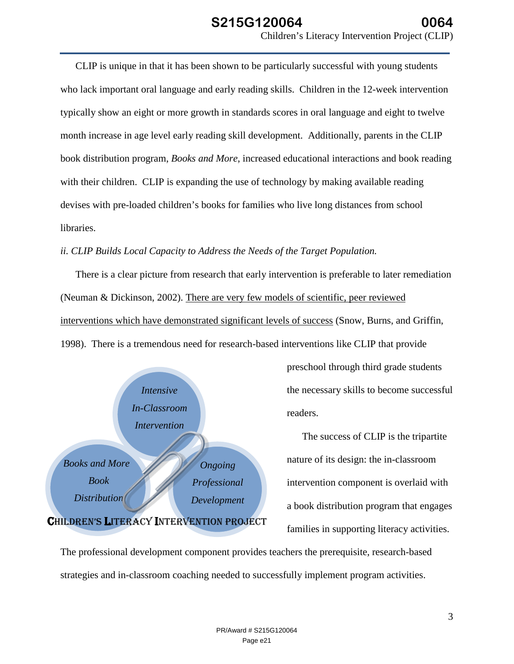CLIP is unique in that it has been shown to be particularly successful with young students who lack important oral language and early reading skills. Children in the 12-week intervention typically show an eight or more growth in standards scores in oral language and eight to twelve month increase in age level early reading skill development. Additionally, parents in the CLIP book distribution program, *Books and More*, increased educational interactions and book reading with their children. CLIP is expanding the use of technology by making available reading devises with pre-loaded children's books for families who live long distances from school libraries.

#### *ii. CLIP Builds Local Capacity to Address the Needs of the Target Population.*

There is a clear picture from research that early intervention is preferable to later remediation (Neuman & Dickinson, 2002). There are very few models of scientific, peer reviewed interventions which have demonstrated significant levels of success (Snow, Burns, and Griffin, 1998). There is a tremendous need for research-based interventions like CLIP that provide



preschool through third grade students the necessary skills to become successful readers.

The success of CLIP is the tripartite nature of its design: the in-classroom intervention component is overlaid with a book distribution program that engages families in supporting literacy activities.

The professional development component provides teachers the prerequisite, research-based strategies and in-classroom coaching needed to successfully implement program activities.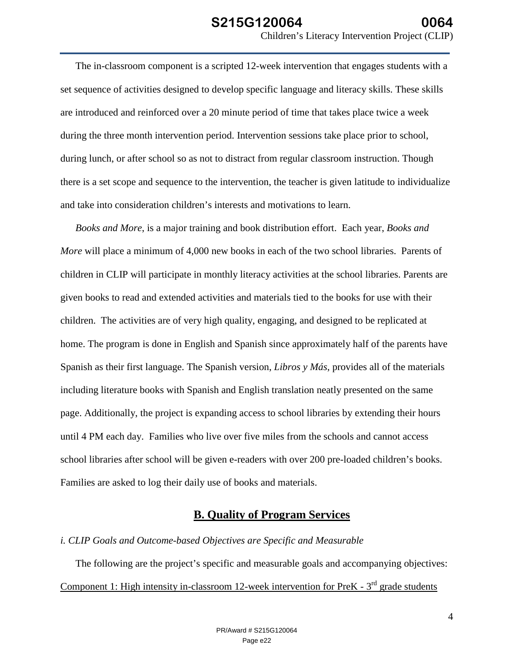The in-classroom component is a scripted 12-week intervention that engages students with a set sequence of activities designed to develop specific language and literacy skills. These skills are introduced and reinforced over a 20 minute period of time that takes place twice a week during the three month intervention period. Intervention sessions take place prior to school, during lunch, or after school so as not to distract from regular classroom instruction. Though there is a set scope and sequence to the intervention, the teacher is given latitude to individualize and take into consideration children's interests and motivations to learn.

*Books and More*, is a major training and book distribution effort. Each year, *Books and More* will place a minimum of 4,000 new books in each of the two school libraries. Parents of children in CLIP will participate in monthly literacy activities at the school libraries. Parents are given books to read and extended activities and materials tied to the books for use with their children. The activities are of very high quality, engaging, and designed to be replicated at home. The program is done in English and Spanish since approximately half of the parents have Spanish as their first language. The Spanish version, *Libros y Más*, provides all of the materials including literature books with Spanish and English translation neatly presented on the same page. Additionally, the project is expanding access to school libraries by extending their hours until 4 PM each day. Families who live over five miles from the schools and cannot access school libraries after school will be given e-readers with over 200 pre-loaded children's books. Families are asked to log their daily use of books and materials.

# **B. Quality of Program Services**

### *i. CLIP Goals and Outcome-based Objectives are Specific and Measurable*

The following are the project's specific and measurable goals and accompanying objectives: Component 1: High intensity in-classroom 12-week intervention for PreK -  $3<sup>rd</sup>$  grade students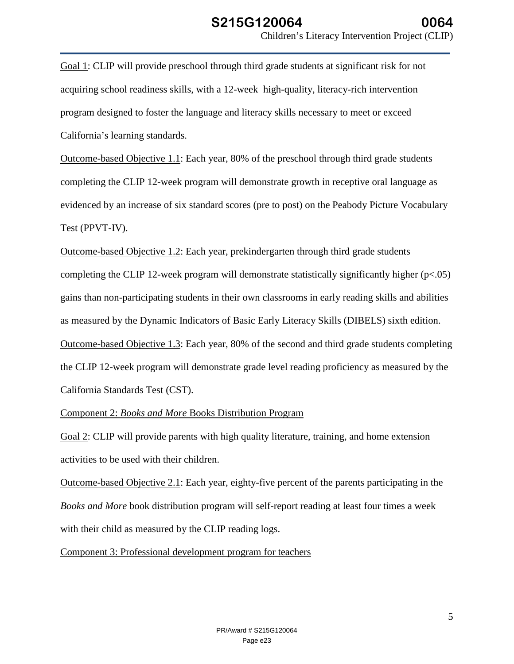Goal 1: CLIP will provide preschool through third grade students at significant risk for not acquiring school readiness skills, with a 12-week high-quality, literacy-rich intervention program designed to foster the language and literacy skills necessary to meet or exceed California's learning standards.

Outcome-based Objective 1.1: Each year, 80% of the preschool through third grade students completing the CLIP 12-week program will demonstrate growth in receptive oral language as evidenced by an increase of six standard scores (pre to post) on the Peabody Picture Vocabulary Test (PPVT-IV).

Outcome-based Objective 1.2: Each year, prekindergarten through third grade students completing the CLIP 12-week program will demonstrate statistically significantly higher ( $p<0.05$ ) gains than non-participating students in their own classrooms in early reading skills and abilities as measured by the Dynamic Indicators of Basic Early Literacy Skills (DIBELS) sixth edition. Outcome-based Objective 1.3: Each year, 80% of the second and third grade students completing the CLIP 12-week program will demonstrate grade level reading proficiency as measured by the California Standards Test (CST).

Component 2: *Books and More* Books Distribution Program

Goal 2: CLIP will provide parents with high quality literature, training, and home extension activities to be used with their children.

Outcome-based Objective 2.1: Each year, eighty-five percent of the parents participating in the *Books and More* book distribution program will self-report reading at least four times a week with their child as measured by the CLIP reading logs.

Component 3: Professional development program for teachers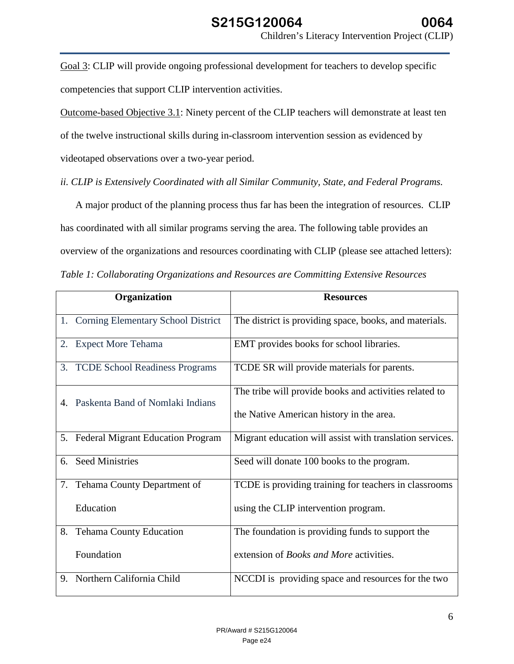Goal 3: CLIP will provide ongoing professional development for teachers to develop specific competencies that support CLIP intervention activities.

Outcome-based Objective 3.1: Ninety percent of the CLIP teachers will demonstrate at least ten of the twelve instructional skills during in-classroom intervention session as evidenced by videotaped observations over a two-year period.

*ii. CLIP is Extensively Coordinated with all Similar Community, State, and Federal Programs.*

A major product of the planning process thus far has been the integration of resources. CLIP has coordinated with all similar programs serving the area. The following table provides an overview of the organizations and resources coordinating with CLIP (please see attached letters): *Table 1: Collaborating Organizations and Resources are Committing Extensive Resources*

|    | Organization                          | <b>Resources</b>                                         |
|----|---------------------------------------|----------------------------------------------------------|
|    | 1. Corning Elementary School District | The district is providing space, books, and materials.   |
|    | <b>Expect More Tehama</b>             | EMT provides books for school libraries.                 |
|    | 3. TCDE School Readiness Programs     | TCDE SR will provide materials for parents.              |
|    | 4. Paskenta Band of Nomlaki Indians   | The tribe will provide books and activities related to   |
|    |                                       | the Native American history in the area.                 |
|    | 5. Federal Migrant Education Program  | Migrant education will assist with translation services. |
|    | 6. Seed Ministries                    | Seed will donate 100 books to the program.               |
|    | 7. Tehama County Department of        | TCDE is providing training for teachers in classrooms    |
|    | Education                             | using the CLIP intervention program.                     |
|    | 8. Tehama County Education            | The foundation is providing funds to support the         |
|    | Foundation                            | extension of <i>Books and More</i> activities.           |
| 9. | Northern California Child             | NCCDI is providing space and resources for the two       |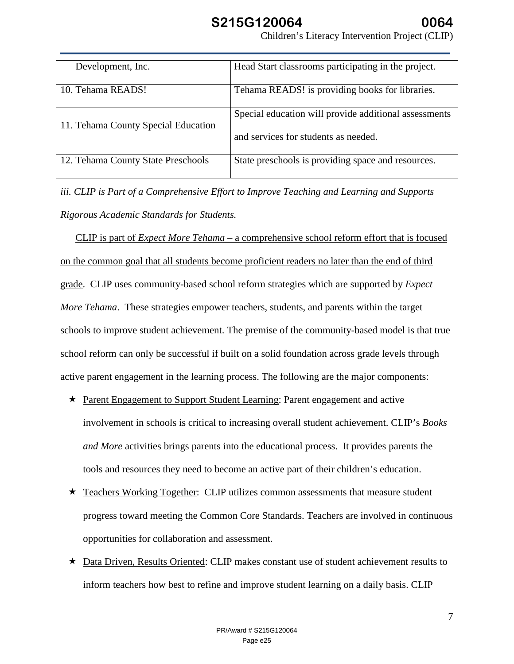| Development, Inc.                   | Head Start classrooms participating in the project.   |
|-------------------------------------|-------------------------------------------------------|
|                                     |                                                       |
| 10. Tehama READS!                   | Tehama READS! is providing books for libraries.       |
|                                     |                                                       |
|                                     | Special education will provide additional assessments |
| 11. Tehama County Special Education |                                                       |
|                                     | and services for students as needed.                  |
|                                     |                                                       |
| 12. Tehama County State Preschools  | State preschools is providing space and resources.    |
|                                     |                                                       |

*iii. CLIP is Part of a Comprehensive Effort to Improve Teaching and Learning and Supports Rigorous Academic Standards for Students.*

CLIP is part of *Expect More Tehama* – a comprehensive school reform effort that is focused on the common goal that all students become proficient readers no later than the end of third grade. CLIP uses community-based school reform strategies which are supported by *Expect More Tehama*. These strategies empower teachers, students, and parents within the target schools to improve student achievement. The premise of the community-based model is that true school reform can only be successful if built on a solid foundation across grade levels through active parent engagement in the learning process. The following are the major components:

- ★ Parent Engagement to Support Student Learning: Parent engagement and active involvement in schools is critical to increasing overall student achievement. CLIP's *Books and More* activities brings parents into the educational process. It provides parents the tools and resources they need to become an active part of their children's education.
- Teachers Working Together: CLIP utilizes common assessments that measure student progress toward meeting the Common Core Standards. Teachers are involved in continuous opportunities for collaboration and assessment.
- Data Driven, Results Oriented: CLIP makes constant use of student achievement results to inform teachers how best to refine and improve student learning on a daily basis. CLIP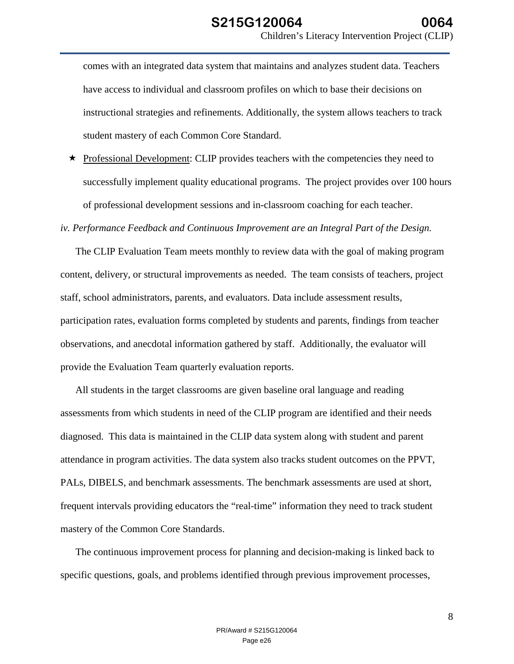comes with an integrated data system that maintains and analyzes student data. Teachers have access to individual and classroom profiles on which to base their decisions on instructional strategies and refinements. Additionally, the system allows teachers to track student mastery of each Common Core Standard.

 $\star$  Professional Development: CLIP provides teachers with the competencies they need to successfully implement quality educational programs. The project provides over 100 hours of professional development sessions and in-classroom coaching for each teacher.

*iv. Performance Feedback and Continuous Improvement are an Integral Part of the Design.*

The CLIP Evaluation Team meets monthly to review data with the goal of making program content, delivery, or structural improvements as needed. The team consists of teachers, project staff, school administrators, parents, and evaluators. Data include assessment results, participation rates, evaluation forms completed by students and parents, findings from teacher observations, and anecdotal information gathered by staff. Additionally, the evaluator will provide the Evaluation Team quarterly evaluation reports.

All students in the target classrooms are given baseline oral language and reading assessments from which students in need of the CLIP program are identified and their needs diagnosed. This data is maintained in the CLIP data system along with student and parent attendance in program activities. The data system also tracks student outcomes on the PPVT, PALs, DIBELS, and benchmark assessments. The benchmark assessments are used at short, frequent intervals providing educators the "real-time" information they need to track student mastery of the Common Core Standards.

The continuous improvement process for planning and decision-making is linked back to specific questions, goals, and problems identified through previous improvement processes,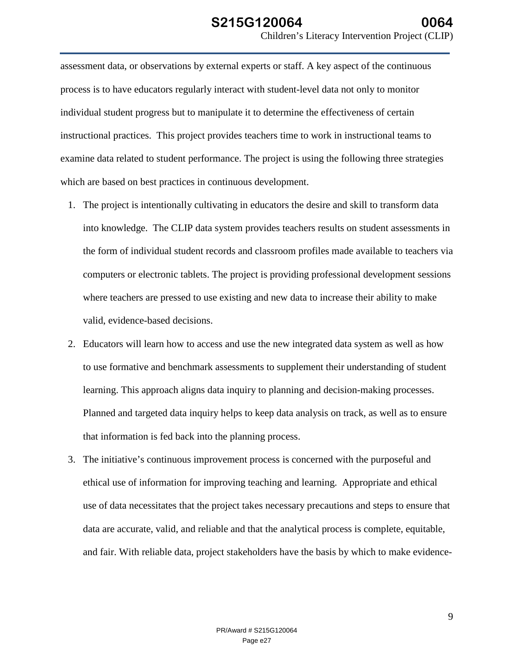assessment data, or observations by external experts or staff. A key aspect of the continuous process is to have educators regularly interact with student-level data not only to monitor individual student progress but to manipulate it to determine the effectiveness of certain instructional practices. This project provides teachers time to work in instructional teams to examine data related to student performance. The project is using the following three strategies which are based on best practices in continuous development.

- 1. The project is intentionally cultivating in educators the desire and skill to transform data into knowledge. The CLIP data system provides teachers results on student assessments in the form of individual student records and classroom profiles made available to teachers via computers or electronic tablets. The project is providing professional development sessions where teachers are pressed to use existing and new data to increase their ability to make valid, evidence-based decisions.
- 2. Educators will learn how to access and use the new integrated data system as well as how to use formative and benchmark assessments to supplement their understanding of student learning. This approach aligns data inquiry to planning and decision-making processes. Planned and targeted data inquiry helps to keep data analysis on track, as well as to ensure that information is fed back into the planning process.
- 3. The initiative's continuous improvement process is concerned with the purposeful and ethical use of information for improving teaching and learning. Appropriate and ethical use of data necessitates that the project takes necessary precautions and steps to ensure that data are accurate, valid, and reliable and that the analytical process is complete, equitable, and fair. With reliable data, project stakeholders have the basis by which to make evidence-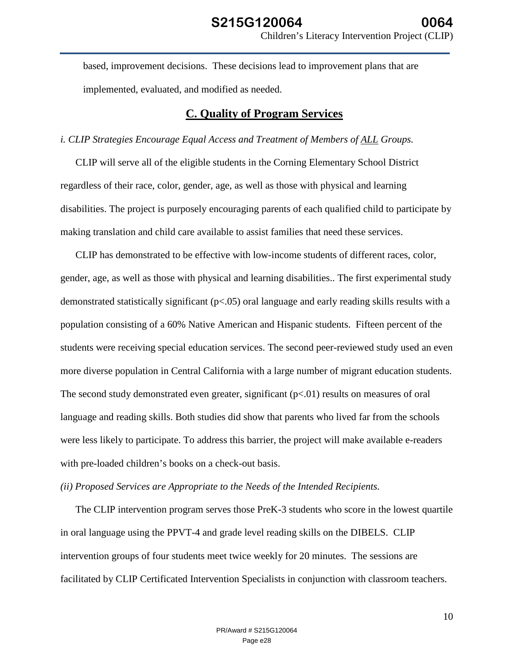based, improvement decisions. These decisions lead to improvement plans that are implemented, evaluated, and modified as needed.

# **C. Quality of Program Services**

#### *i. CLIP Strategies Encourage Equal Access and Treatment of Members of ALL Groups.*

CLIP will serve all of the eligible students in the Corning Elementary School District regardless of their race, color, gender, age, as well as those with physical and learning disabilities. The project is purposely encouraging parents of each qualified child to participate by making translation and child care available to assist families that need these services.

CLIP has demonstrated to be effective with low-income students of different races, color, gender, age, as well as those with physical and learning disabilities.. The first experimental study demonstrated statistically significant (p<.05) oral language and early reading skills results with a population consisting of a 60% Native American and Hispanic students. Fifteen percent of the students were receiving special education services. The second peer-reviewed study used an even more diverse population in Central California with a large number of migrant education students. The second study demonstrated even greater, significant  $(p<.01)$  results on measures of oral language and reading skills. Both studies did show that parents who lived far from the schools were less likely to participate. To address this barrier, the project will make available e-readers with pre-loaded children's books on a check-out basis.

*(ii) Proposed Services are Appropriate to the Needs of the Intended Recipients.*

The CLIP intervention program serves those PreK-3 students who score in the lowest quartile in oral language using the PPVT-4 and grade level reading skills on the DIBELS. CLIP intervention groups of four students meet twice weekly for 20 minutes. The sessions are facilitated by CLIP Certificated Intervention Specialists in conjunction with classroom teachers.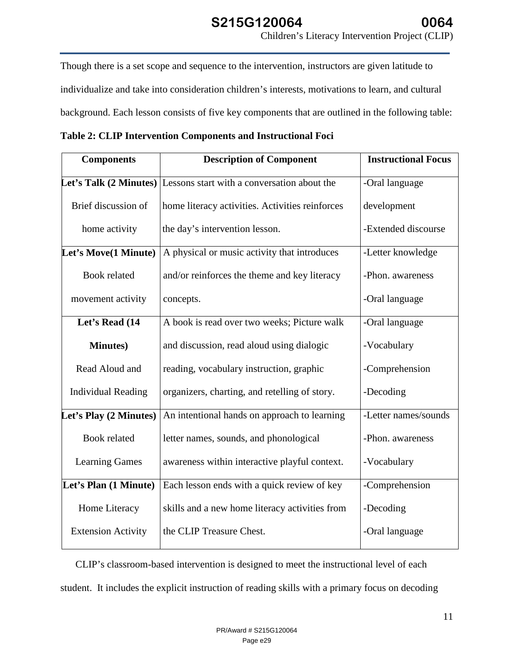Though there is a set scope and sequence to the intervention, instructors are given latitude to individualize and take into consideration children's interests, motivations to learn, and cultural background. Each lesson consists of five key components that are outlined in the following table:

| <b>Table 2: CLIP Intervention Components and Instructional Foci</b> |
|---------------------------------------------------------------------|
|---------------------------------------------------------------------|

| <b>Components</b>         | <b>Description of Component</b>                 | <b>Instructional Focus</b> |
|---------------------------|-------------------------------------------------|----------------------------|
| Let's Talk (2 Minutes)    | Lessons start with a conversation about the     | -Oral language             |
| Brief discussion of       | home literacy activities. Activities reinforces | development                |
| home activity             | the day's intervention lesson.                  | -Extended discourse        |
| Let's Move(1 Minute)      | A physical or music activity that introduces    | -Letter knowledge          |
| <b>Book related</b>       | and/or reinforces the theme and key literacy    | -Phon. awareness           |
| movement activity         | concepts.                                       | -Oral language             |
| Let's Read (14            | A book is read over two weeks; Picture walk     | -Oral language             |
| <b>Minutes</b> )          | and discussion, read aloud using dialogic       | -Vocabulary                |
| Read Aloud and            | reading, vocabulary instruction, graphic        | -Comprehension             |
| <b>Individual Reading</b> | organizers, charting, and retelling of story.   | -Decoding                  |
| Let's Play (2 Minutes)    | An intentional hands on approach to learning    | -Letter names/sounds       |
| <b>Book related</b>       | letter names, sounds, and phonological          | -Phon. awareness           |
| <b>Learning Games</b>     | awareness within interactive playful context.   | -Vocabulary                |
| Let's Plan (1 Minute)     | Each lesson ends with a quick review of key     | -Comprehension             |
| Home Literacy             | skills and a new home literacy activities from  | -Decoding                  |
| <b>Extension Activity</b> | the CLIP Treasure Chest.                        | -Oral language             |

CLIP's classroom-based intervention is designed to meet the instructional level of each student. It includes the explicit instruction of reading skills with a primary focus on decoding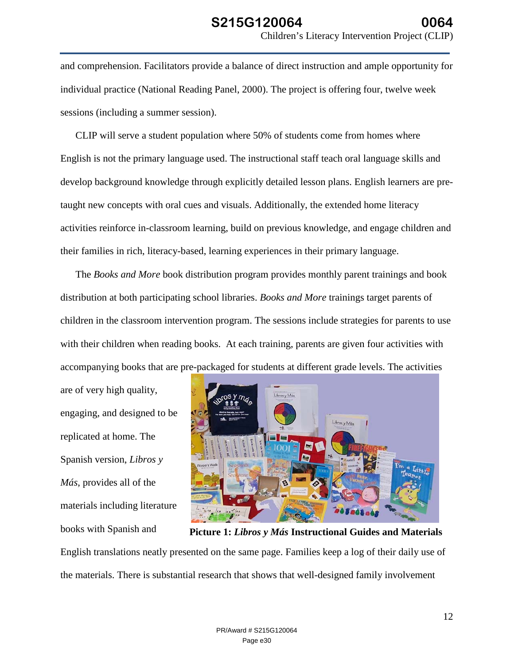and comprehension. Facilitators provide a balance of direct instruction and ample opportunity for individual practice (National Reading Panel, 2000). The project is offering four, twelve week sessions (including a summer session).

CLIP will serve a student population where 50% of students come from homes where English is not the primary language used. The instructional staff teach oral language skills and develop background knowledge through explicitly detailed lesson plans. English learners are pretaught new concepts with oral cues and visuals. Additionally, the extended home literacy activities reinforce in-classroom learning, build on previous knowledge, and engage children and their families in rich, literacy-based, learning experiences in their primary language.

The *Books and More* book distribution program provides monthly parent trainings and book distribution at both participating school libraries. *Books and More* trainings target parents of children in the classroom intervention program. The sessions include strategies for parents to use with their children when reading books. At each training, parents are given four activities with accompanying books that are pre-packaged for students at different grade levels. The activities

are of very high quality, engaging, and designed to be replicated at home. The Spanish version, *Libros y Más*, provides all of the materials including literature books with Spanish and



**Picture 1:** *Libros y Más* **Instructional Guides and Materials**

English translations neatly presented on the same page. Families keep a log of their daily use of the materials. There is substantial research that shows that well-designed family involvement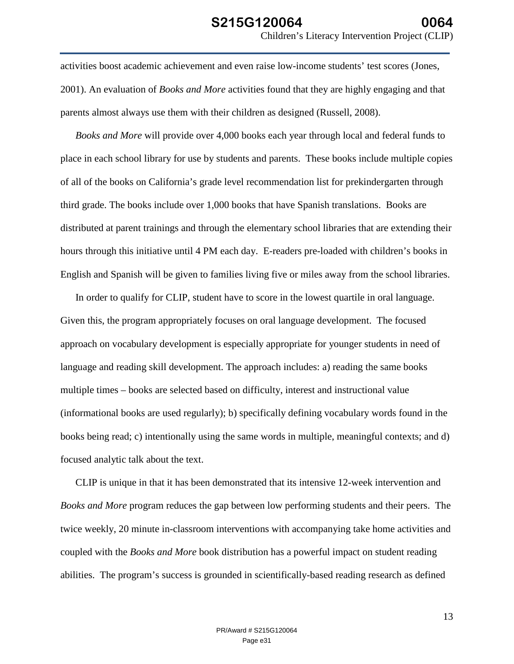activities boost academic achievement and even raise low-income students' test scores (Jones, 2001). An evaluation of *Books and More* activities found that they are highly engaging and that parents almost always use them with their children as designed (Russell, 2008).

*Books and More* will provide over 4,000 books each year through local and federal funds to place in each school library for use by students and parents. These books include multiple copies of all of the books on California's grade level recommendation list for prekindergarten through third grade. The books include over 1,000 books that have Spanish translations. Books are distributed at parent trainings and through the elementary school libraries that are extending their hours through this initiative until 4 PM each day. E-readers pre-loaded with children's books in English and Spanish will be given to families living five or miles away from the school libraries.

In order to qualify for CLIP, student have to score in the lowest quartile in oral language. Given this, the program appropriately focuses on oral language development. The focused approach on vocabulary development is especially appropriate for younger students in need of language and reading skill development. The approach includes: a) reading the same books multiple times – books are selected based on difficulty, interest and instructional value (informational books are used regularly); b) specifically defining vocabulary words found in the books being read; c) intentionally using the same words in multiple, meaningful contexts; and d) focused analytic talk about the text.

CLIP is unique in that it has been demonstrated that its intensive 12-week intervention and *Books and More* program reduces the gap between low performing students and their peers. The twice weekly, 20 minute in-classroom interventions with accompanying take home activities and coupled with the *Books and More* book distribution has a powerful impact on student reading abilities. The program's success is grounded in scientifically-based reading research as defined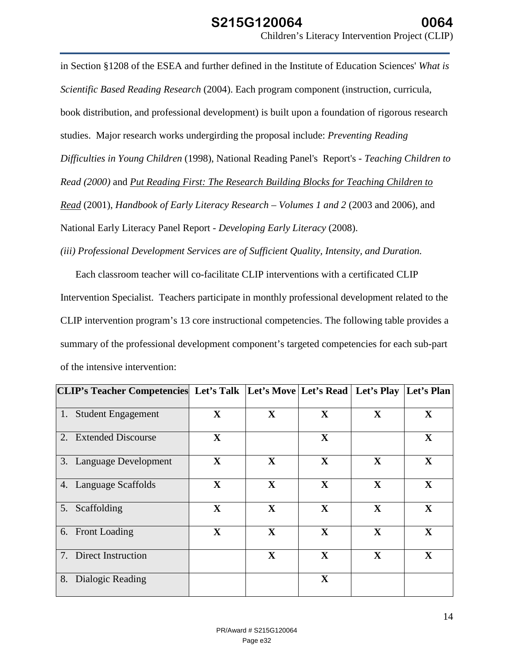in Section §1208 of the ESEA and further defined in the Institute of Education Sciences' *What is Scientific Based Reading Research* (2004). Each program component (instruction, curricula, book distribution, and professional development) is built upon a foundation of rigorous research studies. Major research works undergirding the proposal include: *Preventing Reading Difficulties in Young Children* (1998), National Reading Panel's Report's *- Teaching Children to Read (2000)* and *Put Reading First: The Research Building Blocks for Teaching Children to Read* (2001), *Handbook of Early Literacy Research – Volumes 1 and 2* (2003 and 2006), and National Early Literacy Panel Report - *Developing Early Literacy* (2008). *(iii) Professional Development Services are of Sufficient Quality, Intensity, and Duration.*

Each classroom teacher will co-facilitate CLIP interventions with a certificated CLIP Intervention Specialist. Teachers participate in monthly professional development related to the CLIP intervention program's 13 core instructional competencies. The following table provides a summary of the professional development component's targeted competencies for each sub-part of the intensive intervention:

| CLIP's Teacher Competencies  Let's Talk   Let's Move   Let's Read   Let's Play   Let's Plan |              |              |              |              |              |
|---------------------------------------------------------------------------------------------|--------------|--------------|--------------|--------------|--------------|
|                                                                                             |              |              |              |              |              |
| 1.<br><b>Student Engagement</b>                                                             | $\mathbf{X}$ | $\mathbf{X}$ | $\mathbf{X}$ | $\mathbf{X}$ | $\mathbf{X}$ |
| 2. Extended Discourse                                                                       | $\mathbf X$  |              | $\mathbf X$  |              | $\mathbf X$  |
| 3. Language Development                                                                     | $\mathbf{X}$ | $\mathbf X$  | $\mathbf{X}$ | $\mathbf X$  | $\mathbf{X}$ |
| 4. Language Scaffolds                                                                       | $\mathbf X$  | $\mathbf{X}$ | $\mathbf{X}$ | $\mathbf X$  | $\mathbf X$  |
| 5. Scaffolding                                                                              | $\mathbf{X}$ | X            | $\mathbf{X}$ | $\mathbf{X}$ | $\mathbf{X}$ |
| 6. Front Loading                                                                            | $\mathbf{X}$ | $\mathbf{X}$ | $\mathbf{X}$ | $\mathbf{X}$ | $\mathbf{X}$ |
| 7. Direct Instruction                                                                       |              | $\mathbf X$  | $\mathbf{X}$ | $\mathbf X$  | $\mathbf{X}$ |
| 8. Dialogic Reading                                                                         |              |              | $\mathbf X$  |              |              |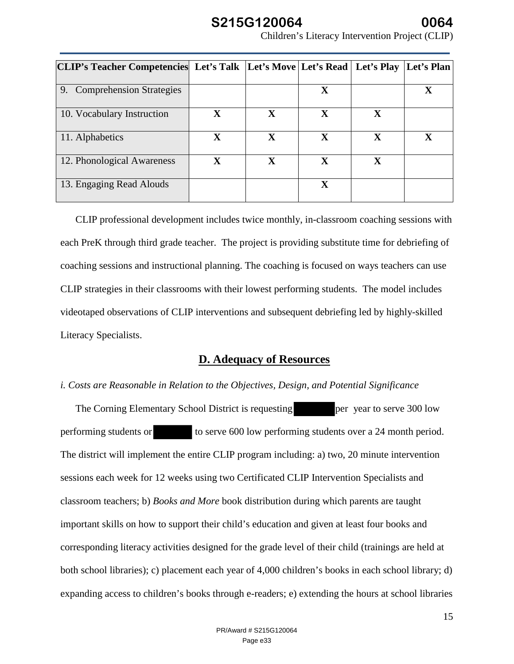| CLIP's Teacher Competencies  Let's Talk  Let's Move   Let's Read   Let's Play   Let's Plan |             |   |             |             |   |
|--------------------------------------------------------------------------------------------|-------------|---|-------------|-------------|---|
| 9. Comprehension Strategies                                                                |             |   | X           |             | X |
|                                                                                            |             |   |             |             |   |
| 10. Vocabulary Instruction                                                                 | X           | X | X           | X           |   |
|                                                                                            |             |   |             |             |   |
| 11. Alphabetics                                                                            | $\mathbf X$ | X | X           | X           | X |
|                                                                                            |             |   |             |             |   |
| 12. Phonological Awareness                                                                 | $\mathbf x$ | X | $\mathbf x$ | $\mathbf X$ |   |
| 13. Engaging Read Alouds                                                                   |             |   | $\mathbf X$ |             |   |
|                                                                                            |             |   |             |             |   |

CLIP professional development includes twice monthly, in-classroom coaching sessions with each PreK through third grade teacher. The project is providing substitute time for debriefing of coaching sessions and instructional planning. The coaching is focused on ways teachers can use CLIP strategies in their classrooms with their lowest performing students. The model includes videotaped observations of CLIP interventions and subsequent debriefing led by highly-skilled Literacy Specialists.

# **D. Adequacy of Resources**

#### *i. Costs are Reasonable in Relation to the Objectives, Design, and Potential Significance*

The Corning Elementary School District is requesting per year to serve 300 low performing students or to serve 600 low performing students over a 24 month period. The district will implement the entire CLIP program including: a) two, 20 minute intervention sessions each week for 12 weeks using two Certificated CLIP Intervention Specialists and classroom teachers; b) *Books and More* book distribution during which parents are taught important skills on how to support their child's education and given at least four books and corresponding literacy activities designed for the grade level of their child (trainings are held at both school libraries); c) placement each year of 4,000 children's books in each school library; d) expanding access to children's books through e-readers; e) extending the hours at school libraries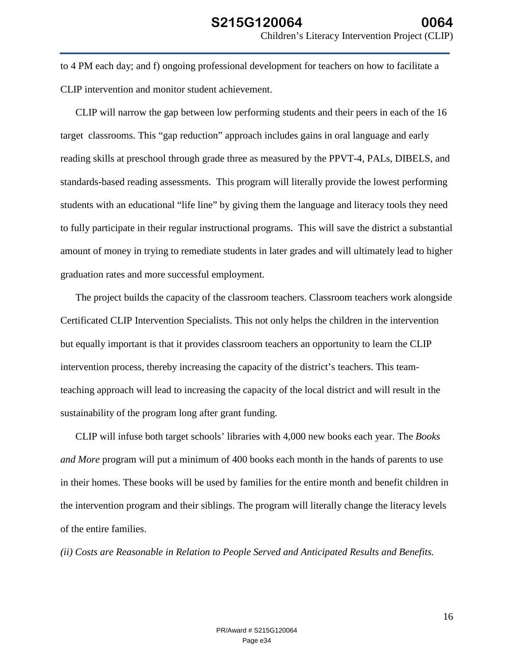to 4 PM each day; and f) ongoing professional development for teachers on how to facilitate a CLIP intervention and monitor student achievement.

CLIP will narrow the gap between low performing students and their peers in each of the 16 target classrooms. This "gap reduction" approach includes gains in oral language and early reading skills at preschool through grade three as measured by the PPVT-4, PALs, DIBELS, and standards-based reading assessments. This program will literally provide the lowest performing students with an educational "life line" by giving them the language and literacy tools they need to fully participate in their regular instructional programs. This will save the district a substantial amount of money in trying to remediate students in later grades and will ultimately lead to higher graduation rates and more successful employment.

The project builds the capacity of the classroom teachers. Classroom teachers work alongside Certificated CLIP Intervention Specialists. This not only helps the children in the intervention but equally important is that it provides classroom teachers an opportunity to learn the CLIP intervention process, thereby increasing the capacity of the district's teachers. This teamteaching approach will lead to increasing the capacity of the local district and will result in the sustainability of the program long after grant funding.

CLIP will infuse both target schools' libraries with 4,000 new books each year. The *Books and More* program will put a minimum of 400 books each month in the hands of parents to use in their homes. These books will be used by families for the entire month and benefit children in the intervention program and their siblings. The program will literally change the literacy levels of the entire families.

*(ii) Costs are Reasonable in Relation to People Served and Anticipated Results and Benefits.*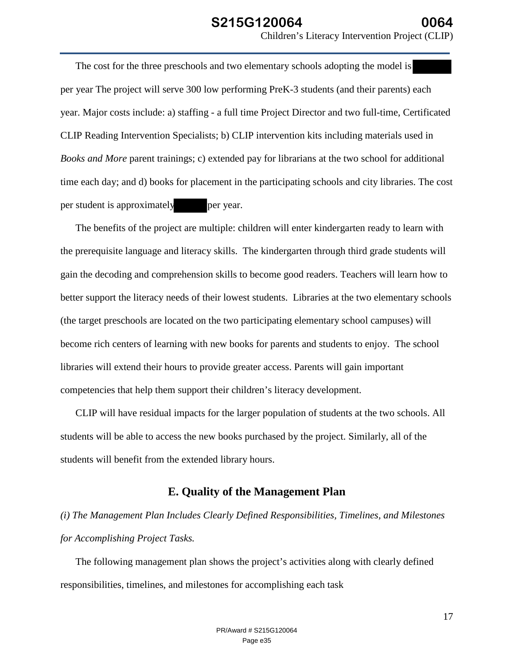The cost for the three preschools and two elementary schools adopting the model is per year The project will serve 300 low performing PreK-3 students (and their parents) each year. Major costs include: a) staffing - a full time Project Director and two full-time, Certificated CLIP Reading Intervention Specialists; b) CLIP intervention kits including materials used in *Books and More* parent trainings; c) extended pay for librarians at the two school for additional time each day; and d) books for placement in the participating schools and city libraries. The cost per student is approximately per year.

The benefits of the project are multiple: children will enter kindergarten ready to learn with the prerequisite language and literacy skills. The kindergarten through third grade students will gain the decoding and comprehension skills to become good readers. Teachers will learn how to better support the literacy needs of their lowest students. Libraries at the two elementary schools (the target preschools are located on the two participating elementary school campuses) will become rich centers of learning with new books for parents and students to enjoy. The school libraries will extend their hours to provide greater access. Parents will gain important competencies that help them support their children's literacy development.

CLIP will have residual impacts for the larger population of students at the two schools. All students will be able to access the new books purchased by the project. Similarly, all of the students will benefit from the extended library hours.

# **E. Quality of the Management Plan**

*(i) The Management Plan Includes Clearly Defined Responsibilities, Timelines, and Milestones for Accomplishing Project Tasks.*

 The following management plan shows the project's activities along with clearly defined responsibilities, timelines, and milestones for accomplishing each task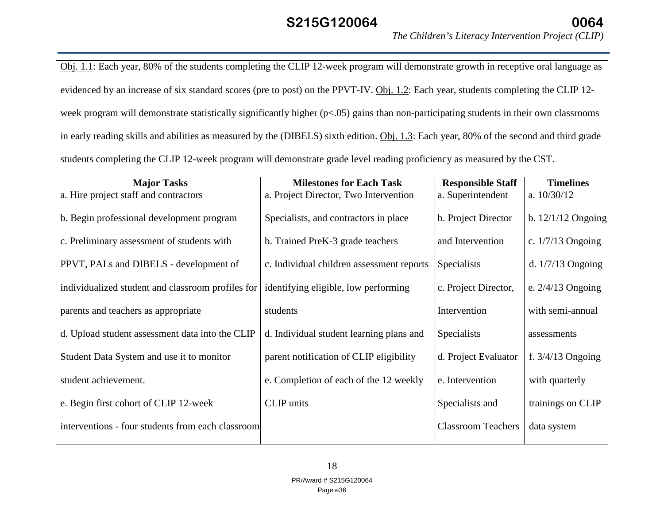Obj. 1.1: Each year, 80% of the students completing the CLIP 12-week program will demonstrate growth in receptive oral language as evidenced by an increase of six standard scores (pre to post) on the PPVT-IV. Obj. 1.2: Each year, students completing the CLIP 12week program will demonstrate statistically significantly higher (p<.05) gains than non-participating students in their own classrooms in early reading skills and abilities as measured by the (DIBELS) sixth edition. Obj. 1.3: Each year, 80% of the second and third grade students completing the CLIP 12-week program will demonstrate grade level reading proficiency as measured by the CST.

| <b>Major Tasks</b>                                | <b>Milestones for Each Task</b>           | <b>Responsible Staff</b>  | <b>Timelines</b>     |
|---------------------------------------------------|-------------------------------------------|---------------------------|----------------------|
| a. Hire project staff and contractors             | a. Project Director, Two Intervention     | a. Superintendent         | a. $10/30/12$        |
| b. Begin professional development program         | Specialists, and contractors in place     | b. Project Director       | b. $12/1/12$ Ongoing |
| c. Preliminary assessment of students with        | b. Trained PreK-3 grade teachers          | and Intervention          | c. $1/7/13$ Ongoing  |
| PPVT, PALs and DIBELS - development of            | c. Individual children assessment reports | Specialists               | d. $1/7/13$ Ongoing  |
| individualized student and classroom profiles for | identifying eligible, low performing      | c. Project Director,      | e. $2/4/13$ Ongoing  |
| parents and teachers as appropriate               | students                                  | Intervention              | with semi-annual     |
| d. Upload student assessment data into the CLIP   | d. Individual student learning plans and  | Specialists               | assessments          |
| Student Data System and use it to monitor         | parent notification of CLIP eligibility   | d. Project Evaluator      | f. $3/4/13$ Ongoing  |
| student achievement.                              | e. Completion of each of the 12 weekly    | e. Intervention           | with quarterly       |
| e. Begin first cohort of CLIP 12-week             | <b>CLIP</b> units                         | Specialists and           | trainings on CLIP    |
| interventions - four students from each classroom |                                           | <b>Classroom Teachers</b> | data system          |
|                                                   |                                           |                           |                      |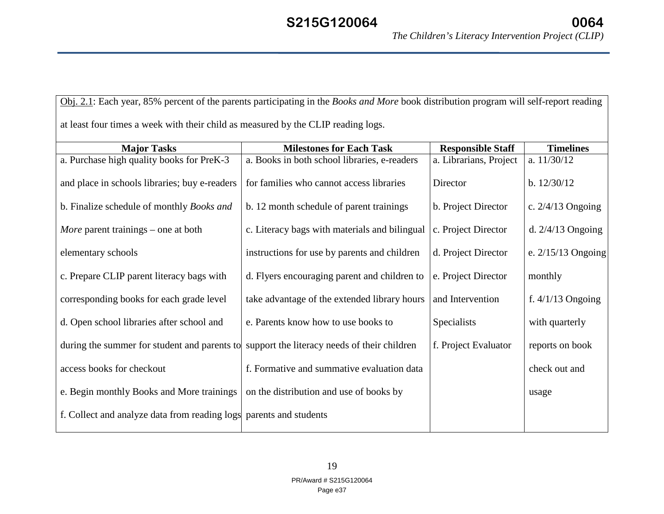Obj. 2.1: Each year, 85% percent of the parents participating in the *Books and More* book distribution program will self-report reading at least four times a week with their child as measured by the CLIP reading logs.

| <b>Major Tasks</b>                                                                        | <b>Milestones for Each Task</b>               | <b>Responsible Staff</b> | <b>Timelines</b>     |
|-------------------------------------------------------------------------------------------|-----------------------------------------------|--------------------------|----------------------|
| a. Purchase high quality books for PreK-3                                                 | a. Books in both school libraries, e-readers  | a. Librarians, Project   | a. $11/30/12$        |
| and place in schools libraries; buy e-readers                                             | for families who cannot access libraries      | Director                 | b. 12/30/12          |
| b. Finalize schedule of monthly Books and                                                 | b. 12 month schedule of parent trainings      | b. Project Director      | c. $2/4/13$ Ongoing  |
| <i>More</i> parent trainings – one at both                                                | c. Literacy bags with materials and bilingual | c. Project Director      | d. $2/4/13$ Ongoing  |
| elementary schools                                                                        | instructions for use by parents and children  | d. Project Director      | e. $2/15/13$ Ongoing |
| c. Prepare CLIP parent literacy bags with                                                 | d. Flyers encouraging parent and children to  | e. Project Director      | monthly              |
| corresponding books for each grade level                                                  | take advantage of the extended library hours  | and Intervention         | f. $4/1/13$ Ongoing  |
| d. Open school libraries after school and                                                 | e. Parents know how to use books to           | <b>Specialists</b>       | with quarterly       |
| during the summer for student and parents to support the literacy needs of their children |                                               | f. Project Evaluator     | reports on book      |
| access books for checkout                                                                 | f. Formative and summative evaluation data    |                          | check out and        |
| e. Begin monthly Books and More trainings                                                 | on the distribution and use of books by       |                          | usage                |
| f. Collect and analyze data from reading logs parents and students                        |                                               |                          |                      |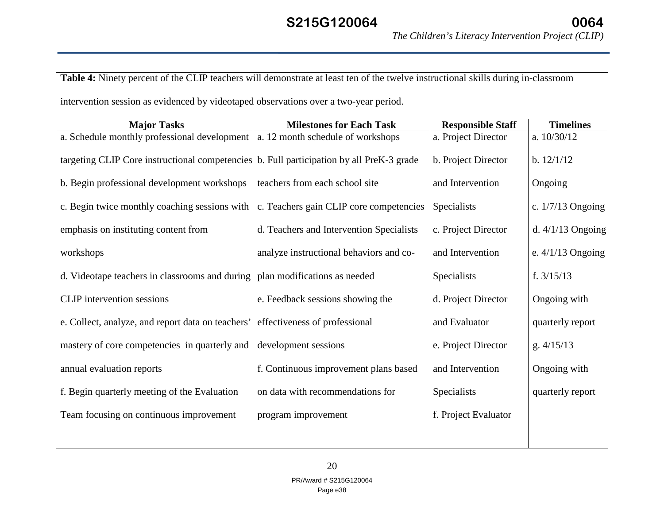**Table 4:** Ninety percent of the CLIP teachers will demonstrate at least ten of the twelve instructional skills during in-classroom intervention session as evidenced by videotaped observations over a two-year period. **Major Tasks Milestones for Each Task Responsible Staff Timelines** a. Schedule monthly professional development targeting CLIP Core instructional competencies b. Full participation by all PreK-3 grade b. Begin professional development workshops c. Begin twice monthly coaching sessions with emphasis on instituting content from workshops d. Videotape teachers in classrooms and during CLIP intervention sessions e. Collect, analyze, and report data on teachers' mastery of core competencies in quarterly and annual evaluation reports f. Begin quarterly meeting of the Evaluation Team focusing on continuous improvement a. 12 month schedule of workshops teachers from each school site c. Teachers gain CLIP core competencies d. Teachers and Intervention Specialists analyze instructional behaviors and coplan modifications as needed e. Feedback sessions showing the effectiveness of professional development sessions f. Continuous improvement plans based on data with recommendations for program improvement a. Project Director b. Project Director and Intervention **Specialists** c. Project Director and Intervention Specialists d. Project Director and Evaluator e. Project Director and Intervention Specialists f. Project Evaluator a. 10/30/12 b. 12/1/12 Ongoing c. 1/7/13 Ongoing d. 4/1/13 Ongoing e. 4/1/13 Ongoing f. 3/15/13 Ongoing with quarterly report g. 4/15/13 Ongoing with quarterly report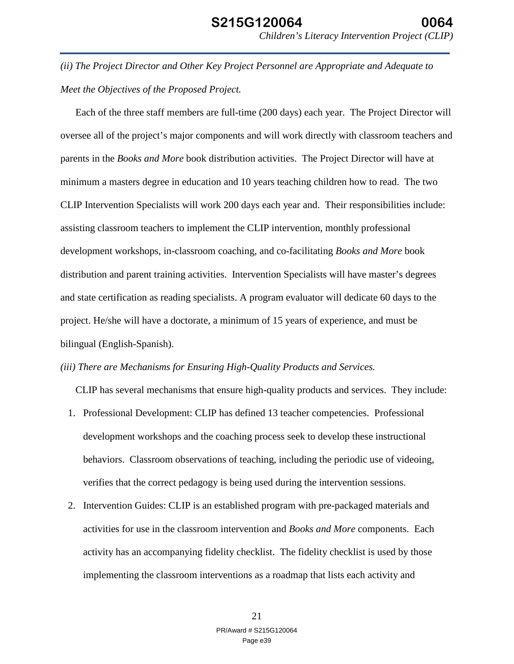*(ii) The Project Director and Other Key Project Personnel are Appropriate and Adequate to Meet the Objectives of the Proposed Project.*

Each of the three staff members are full-time (200 days) each year. The Project Director will oversee all of the project's major components and will work directly with classroom teachers and parents in the *Books and More* book distribution activities. The Project Director will have at minimum a masters degree in education and 10 years teaching children how to read. The two CLIP Intervention Specialists will work 200 days each year and. Their responsibilities include: assisting classroom teachers to implement the CLIP intervention, monthly professional development workshops, in-classroom coaching, and co-facilitating *Books and More* book distribution and parent training activities. Intervention Specialists will have master's degrees and state certification as reading specialists. A program evaluator will dedicate 60 days to the project. He/she will have a doctorate, a minimum of 15 years of experience, and must be bilingual (English-Spanish).

#### *(iii) There are Mechanisms for Ensuring High-Quality Products and Services.*

CLIP has several mechanisms that ensure high-quality products and services. They include:

- 1. Professional Development: CLIP has defined 13 teacher competencies. Professional development workshops and the coaching process seek to develop these instructional behaviors. Classroom observations of teaching, including the periodic use of videoing, verifies that the correct pedagogy is being used during the intervention sessions.
- 2. Intervention Guides: CLIP is an established program with pre-packaged materials and activities for use in the classroom intervention and *Books and More* components. Each activity has an accompanying fidelity checklist. The fidelity checklist is used by those implementing the classroom interventions as a roadmap that lists each activity and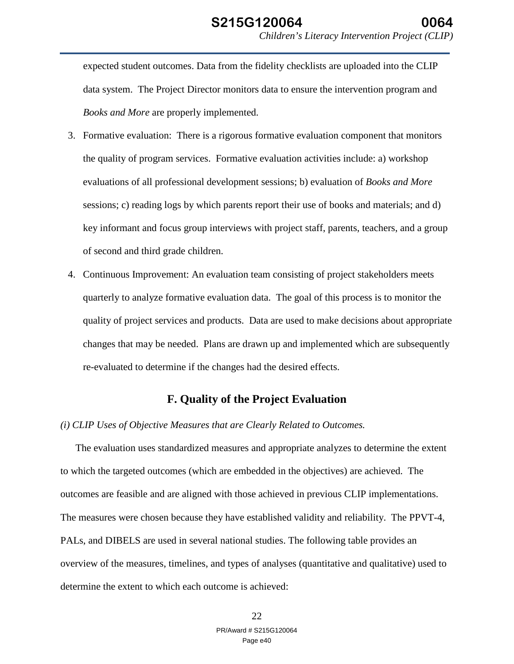expected student outcomes. Data from the fidelity checklists are uploaded into the CLIP data system. The Project Director monitors data to ensure the intervention program and *Books and More* are properly implemented.

- 3. Formative evaluation: There is a rigorous formative evaluation component that monitors the quality of program services. Formative evaluation activities include: a) workshop evaluations of all professional development sessions; b) evaluation of *Books and More* sessions; c) reading logs by which parents report their use of books and materials; and d) key informant and focus group interviews with project staff, parents, teachers, and a group of second and third grade children.
- 4. Continuous Improvement: An evaluation team consisting of project stakeholders meets quarterly to analyze formative evaluation data. The goal of this process is to monitor the quality of project services and products. Data are used to make decisions about appropriate changes that may be needed. Plans are drawn up and implemented which are subsequently re-evaluated to determine if the changes had the desired effects.

### **F. Quality of the Project Evaluation**

*(i) CLIP Uses of Objective Measures that are Clearly Related to Outcomes.*

The evaluation uses standardized measures and appropriate analyzes to determine the extent to which the targeted outcomes (which are embedded in the objectives) are achieved. The outcomes are feasible and are aligned with those achieved in previous CLIP implementations. The measures were chosen because they have established validity and reliability. The PPVT-4, PALs, and DIBELS are used in several national studies. The following table provides an overview of the measures, timelines, and types of analyses (quantitative and qualitative) used to determine the extent to which each outcome is achieved: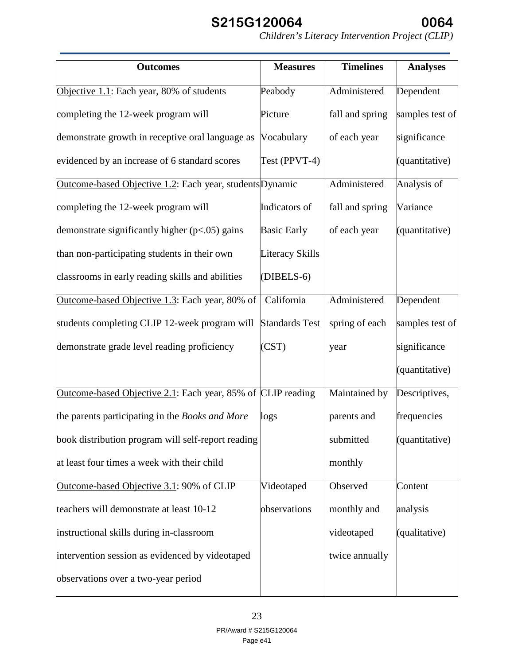# **S215G120064 0064**

*Children's Literacy Intervention Project (CLIP)*

| <b>Outcomes</b>                                             | <b>Measures</b>        | <b>Timelines</b> | <b>Analyses</b> |
|-------------------------------------------------------------|------------------------|------------------|-----------------|
| Objective 1.1: Each year, 80% of students                   | Peabody                | Administered     | Dependent       |
| completing the 12-week program will                         | Picture                | fall and spring  | samples test of |
| demonstrate growth in receptive oral language as            | Vocabulary             | of each year     | significance    |
| evidenced by an increase of 6 standard scores               | Test (PPVT-4)          |                  | (quantitative)  |
| Outcome-based Objective 1.2: Each year, students Dynamic    |                        | Administered     | Analysis of     |
| completing the 12-week program will                         | Indicators of          | fall and spring  | Variance        |
| demonstrate significantly higher $(p<.05)$ gains            | <b>Basic Early</b>     | of each year     | (quantitative)  |
| than non-participating students in their own                | <b>Literacy Skills</b> |                  |                 |
| classrooms in early reading skills and abilities            | (DIBELS-6)             |                  |                 |
| Outcome-based Objective 1.3: Each year, 80% of              | California             | Administered     | Dependent       |
| students completing CLIP 12-week program will               | <b>Standards Test</b>  | spring of each   | samples test of |
| demonstrate grade level reading proficiency                 | (CST)                  | year             | significance    |
|                                                             |                        |                  | (quantitative)  |
| Outcome-based Objective 2.1: Each year, 85% of CLIP reading |                        | Maintained by    | Descriptives,   |
| the parents participating in the Books and More             | logs                   | parents and      | frequencies     |
| book distribution program will self-report reading          |                        | submitted        | (quantitative)  |
| at least four times a week with their child                 |                        | monthly          |                 |
| Outcome-based Objective 3.1: 90% of CLIP                    | Videotaped             | Observed         | Content         |
| teachers will demonstrate at least 10-12                    | observations           | monthly and      | analysis        |
| instructional skills during in-classroom                    |                        | videotaped       | (qualitative)   |
| intervention session as evidenced by videotaped             |                        | twice annually   |                 |
| observations over a two-year period                         |                        |                  |                 |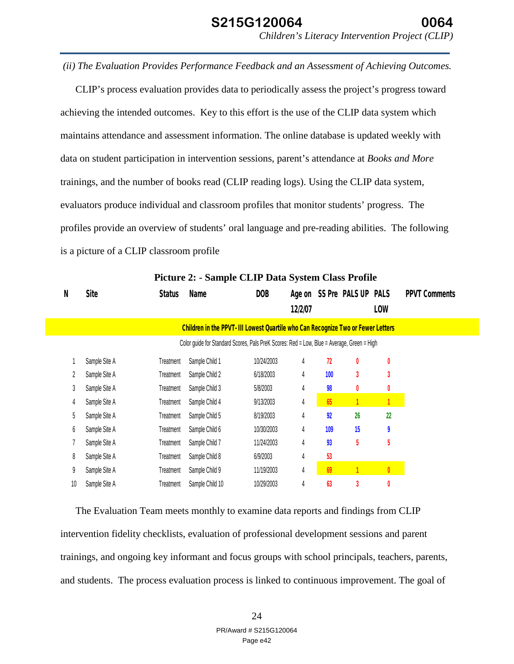*(ii) The Evaluation Provides Performance Feedback and an Assessment of Achieving Outcomes.*

CLIP's process evaluation provides data to periodically assess the project's progress toward achieving the intended outcomes. Key to this effort is the use of the CLIP data system which maintains attendance and assessment information. The online database is updated weekly with data on student participation in intervention sessions, parent's attendance at *Books and More* trainings, and the number of books read (CLIP reading logs). Using the CLIP data system, evaluators produce individual and classroom profiles that monitor students' progress. The profiles provide an overview of students' oral language and pre-reading abilities. The following is a picture of a CLIP classroom profile

| N  | <b>Site</b>   | <b>Status</b> | Name                                                                                       | <b>DOB</b> | Age on<br>12/2/07 |     | SS Pre PALS UP PALS | <b>LOW</b>   | <b>PPVT Comments</b> |
|----|---------------|---------------|--------------------------------------------------------------------------------------------|------------|-------------------|-----|---------------------|--------------|----------------------|
|    |               |               | Children in the PPVT- III Lowest Quartile who Can Recognize Two or Fewer Letters           |            |                   |     |                     |              |                      |
|    |               |               | Color guide for Standard Scores, Pals PreK Scores: Red = Low, Blue = Average, Green = High |            |                   |     |                     |              |                      |
|    | Sample Site A | Treatment     | Sample Child 1                                                                             | 10/24/2003 | 4                 | 72  | 0                   | 0            |                      |
| 2  | Sample Site A | Treatment     | Sample Child 2                                                                             | 6/18/2003  | 4                 | 100 | 3                   | 3            |                      |
| 3  | Sample Site A | Treatment     | Sample Child 3                                                                             | 5/8/2003   | 4                 | 98  | 0                   | 0            |                      |
| 4  | Sample Site A | Treatment     | Sample Child 4                                                                             | 9/13/2003  | 4                 | 65  |                     |              |                      |
| 5  | Sample Site A | Treatment     | Sample Child 5                                                                             | 8/19/2003  | 4                 | 92  | 26                  | 22           |                      |
| 6  | Sample Site A | Treatment     | Sample Child 6                                                                             | 10/30/2003 | 4                 | 109 | 15                  | 9            |                      |
|    | Sample Site A | Treatment     | Sample Child 7                                                                             | 11/24/2003 | 4                 | 93  | 5                   | 5            |                      |
| 8  | Sample Site A | Treatment     | Sample Child 8                                                                             | 6/9/2003   | 4                 | 53  |                     |              |                      |
| 9  | Sample Site A | Treatment     | Sample Child 9                                                                             | 11/19/2003 | 4                 | 69  |                     | $\mathbf{0}$ |                      |
| 10 | Sample Site A | Treatment     | Sample Child 10                                                                            | 10/29/2003 | 4                 | 63  | 3                   | 0            |                      |

**Picture 2: - Sample CLIP Data System Class Profile** 

The Evaluation Team meets monthly to examine data reports and findings from CLIP intervention fidelity checklists, evaluation of professional development sessions and parent trainings, and ongoing key informant and focus groups with school principals, teachers, parents, and students. The process evaluation process is linked to continuous improvement. The goal of